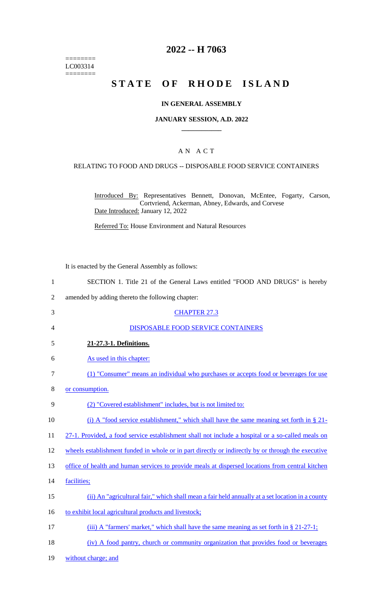======== LC003314 ========

# **2022 -- H 7063**

# **STATE OF RHODE ISLAND**

#### **IN GENERAL ASSEMBLY**

#### **JANUARY SESSION, A.D. 2022 \_\_\_\_\_\_\_\_\_\_\_\_**

### A N A C T

#### RELATING TO FOOD AND DRUGS -- DISPOSABLE FOOD SERVICE CONTAINERS

Introduced By: Representatives Bennett, Donovan, McEntee, Fogarty, Carson, Cortvriend, Ackerman, Abney, Edwards, and Corvese Date Introduced: January 12, 2022

Referred To: House Environment and Natural Resources

It is enacted by the General Assembly as follows:

- 1 SECTION 1. Title 21 of the General Laws entitled "FOOD AND DRUGS" is hereby
- 2 amended by adding thereto the following chapter:
- 3 CHAPTER 27.3 4 DISPOSABLE FOOD SERVICE CONTAINERS 5 **21-27.3-1. Definitions.**  6 As used in this chapter: 7 (1) "Consumer" means an individual who purchases or accepts food or beverages for use 8 or consumption. 9 (2) "Covered establishment" includes, but is not limited to: 10 (i) A "food service establishment," which shall have the same meaning set forth in § 21-11 27-1. Provided, a food service establishment shall not include a hospital or a so-called meals on 12 wheels establishment funded in whole or in part directly or indirectly by or through the executive 13 office of health and human services to provide meals at dispersed locations from central kitchen 14 facilities; 15 (ii) An "agricultural fair," which shall mean a fair held annually at a set location in a county 16 to exhibit local agricultural products and livestock; 17 (iii) A "farmers' market," which shall have the same meaning as set forth in § 21-27-1; 18 (iv) A food pantry, church or community organization that provides food or beverages 19 without charge; and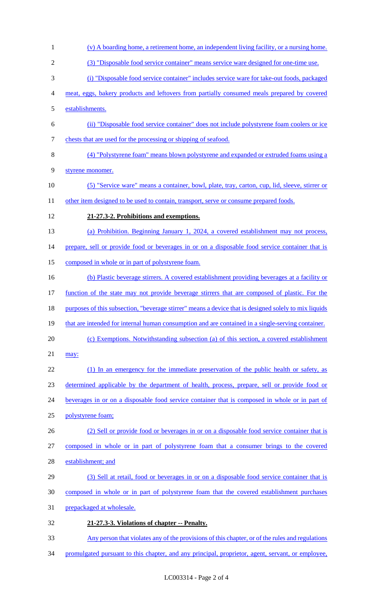- (v) A boarding home, a retirement home, an independent living facility, or a nursing home. (3) "Disposable food service container" means service ware designed for one-time use. (i) "Disposable food service container" includes service ware for take-out foods, packaged meat, eggs, bakery products and leftovers from partially consumed meals prepared by covered establishments. (ii) "Disposable food service container" does not include polystyrene foam coolers or ice chests that are used for the processing or shipping of seafood. (4) "Polystyrene foam" means blown polystyrene and expanded or extruded foams using a styrene monomer. (5) "Service ware" means a container, bowl, plate, tray, carton, cup, lid, sleeve, stirrer or 11 other item designed to be used to contain, transport, serve or consume prepared foods. **21-27.3-2. Prohibitions and exemptions.**  (a) Prohibition. Beginning January 1, 2024, a covered establishment may not process, 14 prepare, sell or provide food or beverages in or on a disposable food service container that is composed in whole or in part of polystyrene foam. (b) Plastic beverage stirrers. A covered establishment providing beverages at a facility or function of the state may not provide beverage stirrers that are composed of plastic. For the purposes of this subsection, "beverage stirrer" means a device that is designed solely to mix liquids 19 that are intended for internal human consumption and are contained in a single-serving container. (c) Exemptions. Notwithstanding subsection (a) of this section, a covered establishment may: 22 (1) In an emergency for the immediate preservation of the public health or safety, as determined applicable by the department of health, process, prepare, sell or provide food or beverages in or on a disposable food service container that is composed in whole or in part of polystyrene foam; (2) Sell or provide food or beverages in or on a disposable food service container that is composed in whole or in part of polystyrene foam that a consumer brings to the covered establishment; and (3) Sell at retail, food or beverages in or on a disposable food service container that is composed in whole or in part of polystyrene foam that the covered establishment purchases prepackaged at wholesale. **21-27.3-3. Violations of chapter -- Penalty.**  Any person that violates any of the provisions of this chapter, or of the rules and regulations
- 34 promulgated pursuant to this chapter, and any principal, proprietor, agent, servant, or employee,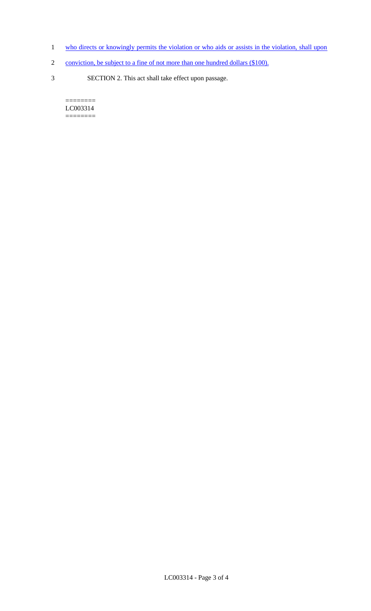- 1 who directs or knowingly permits the violation or who aids or assists in the violation, shall upon
- 2 conviction, be subject to a fine of not more than one hundred dollars (\$100).
- 3 SECTION 2. This act shall take effect upon passage.

 $=$ LC003314 ========